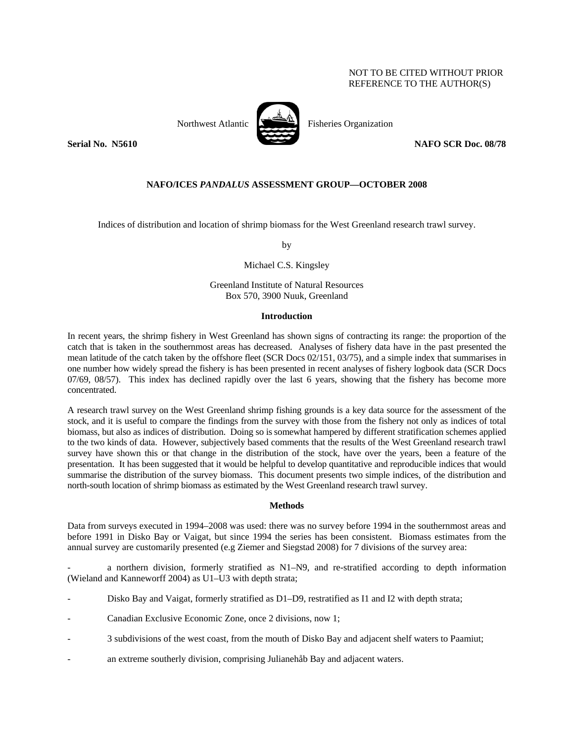# NOT TO BE CITED WITHOUT PRIOR REFERENCE TO THE AUTHOR(S)



Northwest Atlantic Fisheries Organization

**Serial No. N5610** NAFO SCR Doc. 08/78

# **NAFO/ICES** *PANDALUS* **ASSESSMENT GROUP—OCTOBER 2008**

Indices of distribution and location of shrimp biomass for the West Greenland research trawl survey.

by

Michael C.S. Kingsley

Greenland Institute of Natural Resources Box 570, 3900 Nuuk, Greenland

## **Introduction**

In recent years, the shrimp fishery in West Greenland has shown signs of contracting its range: the proportion of the catch that is taken in the southernmost areas has decreased. Analyses of fishery data have in the past presented the mean latitude of the catch taken by the offshore fleet (SCR Docs 02/151, 03/75), and a simple index that summarises in one number how widely spread the fishery is has been presented in recent analyses of fishery logbook data (SCR Docs 07/69, 08/57). This index has declined rapidly over the last 6 years, showing that the fishery has become more concentrated.

A research trawl survey on the West Greenland shrimp fishing grounds is a key data source for the assessment of the stock, and it is useful to compare the findings from the survey with those from the fishery not only as indices of total biomass, but also as indices of distribution. Doing so is somewhat hampered by different stratification schemes applied to the two kinds of data. However, subjectively based comments that the results of the West Greenland research trawl survey have shown this or that change in the distribution of the stock, have over the years, been a feature of the presentation. It has been suggested that it would be helpful to develop quantitative and reproducible indices that would summarise the distribution of the survey biomass. This document presents two simple indices, of the distribution and north-south location of shrimp biomass as estimated by the West Greenland research trawl survey.

## **Methods**

Data from surveys executed in 1994–2008 was used: there was no survey before 1994 in the southernmost areas and before 1991 in Disko Bay or Vaigat, but since 1994 the series has been consistent. Biomass estimates from the annual survey are customarily presented (e.g Ziemer and Siegstad 2008) for 7 divisions of the survey area:

a northern division, formerly stratified as N1–N9, and re-stratified according to depth information (Wieland and Kanneworff 2004) as U1–U3 with depth strata;

- Disko Bay and Vaigat, formerly stratified as D1–D9, restratified as I1 and I2 with depth strata;
- Canadian Exclusive Economic Zone, once 2 divisions, now 1;
- 3 subdivisions of the west coast, from the mouth of Disko Bay and adjacent shelf waters to Paamiut;
- an extreme southerly division, comprising Julianehåb Bay and adjacent waters.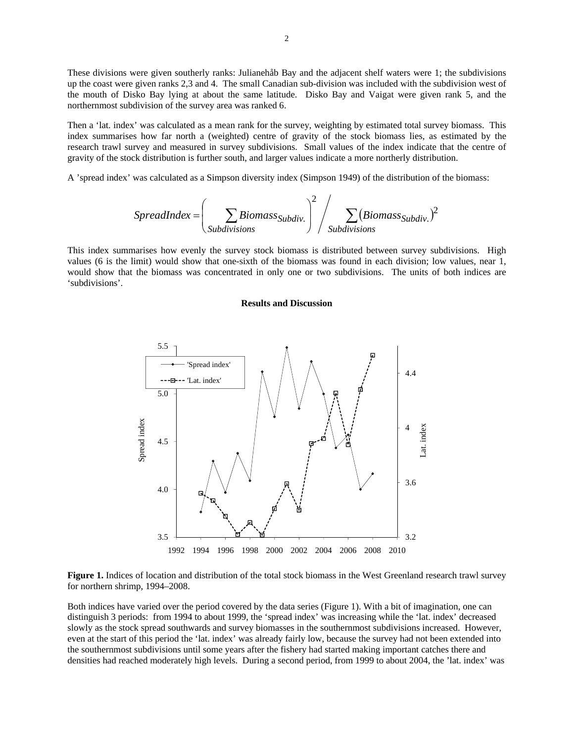These divisions were given southerly ranks: Julianehåb Bay and the adjacent shelf waters were 1; the subdivisions up the coast were given ranks 2,3 and 4. The small Canadian sub-division was included with the subdivision west of the mouth of Disko Bay lying at about the same latitude. Disko Bay and Vaigat were given rank 5, and the northernmost subdivision of the survey area was ranked 6.

Then a 'lat. index' was calculated as a mean rank for the survey, weighting by estimated total survey biomass. This index summarises how far north a (weighted) centre of gravity of the stock biomass lies, as estimated by the research trawl survey and measured in survey subdivisions. Small values of the index indicate that the centre of gravity of the stock distribution is further south, and larger values indicate a more northerly distribution.

A 'spread index' was calculated as a Simpson diversity index (Simpson 1949) of the distribution of the biomass:

$$
SpredIndex = \left(\sum_{Subdivisions} \sum_{Subdivisions} \left( \sum_{Subdivisions} \left( \sum_{i} \left( \sum_{i} \left( \sum_{i} \left( \sum_{i} \left( \sum_{i} \left( \sum_{i} \left( \sum_{i} \left( \sum_{i} \left( \sum_{i} \left( \sum_{i} \left( \sum_{i} \left( \sum_{i} \right) \right) \right) \right) \right) \right) \right) \right) \right) \right)
$$

This index summarises how evenly the survey stock biomass is distributed between survey subdivisions. High values (6 is the limit) would show that one-sixth of the biomass was found in each division; low values, near 1, would show that the biomass was concentrated in only one or two subdivisions. The units of both indices are 'subdivisions'.

### **Results and Discussion**



**Figure 1.** Indices of location and distribution of the total stock biomass in the West Greenland research trawl survey for northern shrimp, 1994–2008.

Both indices have varied over the period covered by the data series (Figure 1). With a bit of imagination, one can distinguish 3 periods: from 1994 to about 1999, the 'spread index' was increasing while the 'lat. index' decreased slowly as the stock spread southwards and survey biomasses in the southernmost subdivisions increased. However, even at the start of this period the 'lat. index' was already fairly low, because the survey had not been extended into the southernmost subdivisions until some years after the fishery had started making important catches there and densities had reached moderately high levels. During a second period, from 1999 to about 2004, the 'lat. index' was